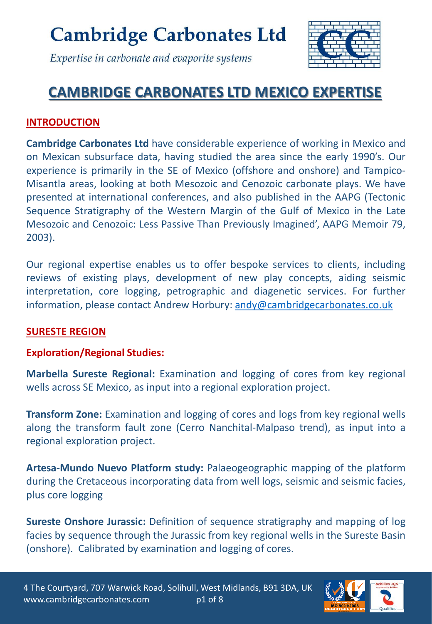

Expertise in carbonate and evaporite systems

### **CAMBRIDGE CARBONATES LTD MEXICO EXPERTISE**

#### **INTRODUCTION**

**Cambridge Carbonates Ltd** have considerable experience of working in Mexico and on Mexican subsurface data, having studied the area since the early 1990's. Our experience is primarily in the SE of Mexico (offshore and onshore) and Tampico-Misantla areas, looking at both Mesozoic and Cenozoic carbonate plays. We have presented at international conferences, and also published in the AAPG (Tectonic Sequence Stratigraphy of the Western Margin of the Gulf of Mexico in the Late Mesozoic and Cenozoic: Less Passive Than Previously Imagined', AAPG Memoir 79, 2003).

Our regional expertise enables us to offer bespoke services to clients, including reviews of existing plays, development of new play concepts, aiding seismic interpretation, core logging, petrographic and diagenetic services. For further information, please contact Andrew Horbury: [andy@cambridgecarbonates.co.uk](mailto:andy@cambridgecarbonates.co.uk)

#### **SURESTE REGION**

#### **Exploration/Regional Studies:**

**Marbella Sureste Regional:** Examination and logging of cores from key regional wells across SE Mexico, as input into a regional exploration project.

**Transform Zone:** Examination and logging of cores and logs from key regional wells along the transform fault zone (Cerro Nanchital-Malpaso trend), as input into a regional exploration project.

**Artesa-Mundo Nuevo Platform study:** Palaeogeographic mapping of the platform during the Cretaceous incorporating data from well logs, seismic and seismic facies, plus core logging

**Sureste Onshore Jurassic:** Definition of sequence stratigraphy and mapping of log facies by sequence through the Jurassic from key regional wells in the Sureste Basin (onshore). Calibrated by examination and logging of cores.

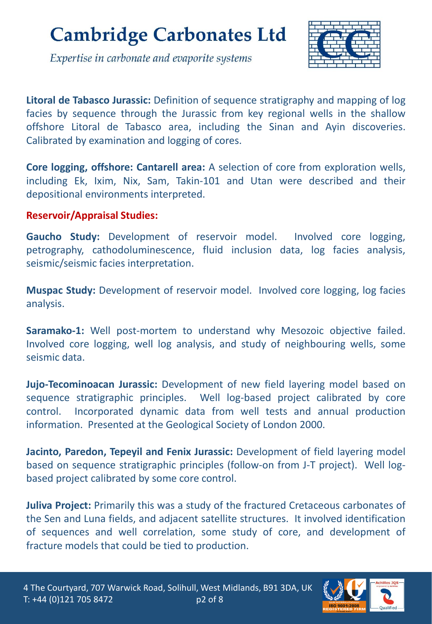

Expertise in carbonate and evaporite systems

**Litoral de Tabasco Jurassic:** Definition of sequence stratigraphy and mapping of log facies by sequence through the Jurassic from key regional wells in the shallow offshore Litoral de Tabasco area, including the Sinan and Ayin discoveries. Calibrated by examination and logging of cores.

**Core logging, offshore: Cantarell area:** A selection of core from exploration wells, including Ek, Ixim, Nix, Sam, Takin-101 and Utan were described and their depositional environments interpreted.

#### **Reservoir/Appraisal Studies:**

**Gaucho Study:** Development of reservoir model. Involved core logging, petrography, cathodoluminescence, fluid inclusion data, log facies analysis, seismic/seismic facies interpretation.

**Muspac Study:** Development of reservoir model. Involved core logging, log facies analysis.

**Saramako-1:** Well post-mortem to understand why Mesozoic objective failed. Involved core logging, well log analysis, and study of neighbouring wells, some seismic data.

**Jujo-Tecominoacan Jurassic:** Development of new field layering model based on sequence stratigraphic principles. Well log-based project calibrated by core control. Incorporated dynamic data from well tests and annual production information. Presented at the Geological Society of London 2000.

**Jacinto, Paredon, Tepeyil and Fenix Jurassic:** Development of field layering model based on sequence stratigraphic principles (follow-on from J-T project). Well logbased project calibrated by some core control.

**Juliva Project:** Primarily this was a study of the fractured Cretaceous carbonates of the Sen and Luna fields, and adjacent satellite structures. It involved identification of sequences and well correlation, some study of core, and development of fracture models that could be tied to production.

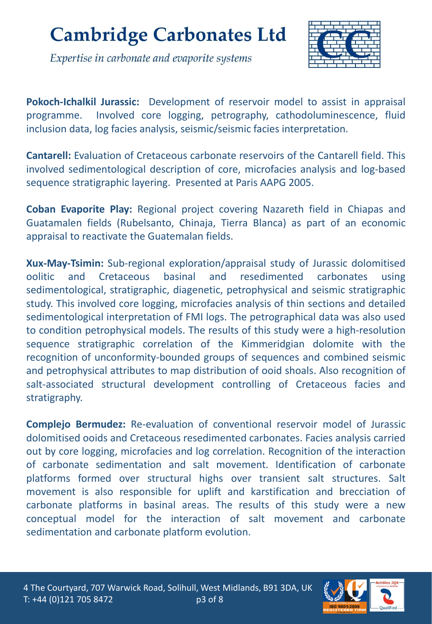



**Pokoch-Ichalkil Jurassic:** Development of reservoir model to assist in appraisal programme. Involved core logging, petrography, cathodoluminescence, fluid inclusion data, log facies analysis, seismic/seismic facies interpretation.

**Cantarell:** Evaluation of Cretaceous carbonate reservoirs of the Cantarell field. This involved sedimentological description of core, microfacies analysis and log-based sequence stratigraphic layering. Presented at Paris AAPG 2005.

**Coban Evaporite Play:** Regional project covering Nazareth field in Chiapas and Guatamalen fields (Rubelsanto, Chinaja, Tierra Blanca) as part of an economic appraisal to reactivate the Guatemalan fields.

**Xux-May-Tsimin:** Sub-regional exploration/appraisal study of Jurassic dolomitised oolitic and Cretaceous basinal and resedimented carbonates using sedimentological, stratigraphic, diagenetic, petrophysical and seismic stratigraphic study. This involved core logging, microfacies analysis of thin sections and detailed sedimentological interpretation of FMI logs. The petrographical data was also used to condition petrophysical models. The results of this study were a high-resolution sequence stratigraphic correlation of the Kimmeridgian dolomite with the recognition of unconformity-bounded groups of sequences and combined seismic and petrophysical attributes to map distribution of ooid shoals. Also recognition of salt-associated structural development controlling of Cretaceous facies and stratigraphy.

**Complejo Bermudez:** Re-evaluation of conventional reservoir model of Jurassic dolomitised ooids and Cretaceous resedimented carbonates. Facies analysis carried out by core logging, microfacies and log correlation. Recognition of the interaction of carbonate sedimentation and salt movement. Identification of carbonate platforms formed over structural highs over transient salt structures. Salt movement is also responsible for uplift and karstification and brecciation of carbonate platforms in basinal areas. The results of this study were a new conceptual model for the interaction of salt movement and carbonate sedimentation and carbonate platform evolution.

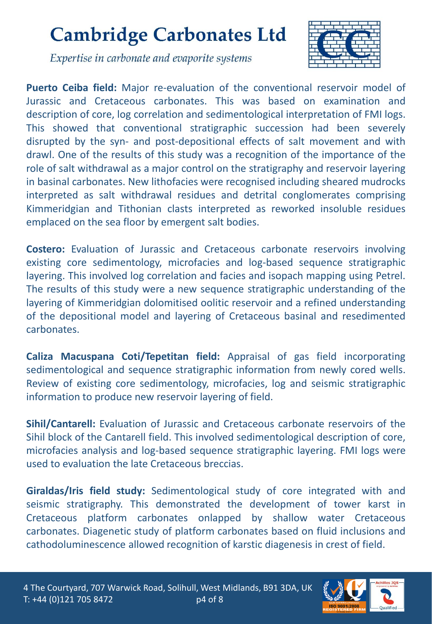

Expertise in carbonate and evaporite systems

**Puerto Ceiba field:** Major re-evaluation of the conventional reservoir model of Jurassic and Cretaceous carbonates. This was based on examination and description of core, log correlation and sedimentological interpretation of FMI logs. This showed that conventional stratigraphic succession had been severely disrupted by the syn- and post-depositional effects of salt movement and with drawl. One of the results of this study was a recognition of the importance of the role of salt withdrawal as a major control on the stratigraphy and reservoir layering in basinal carbonates. New lithofacies were recognised including sheared mudrocks interpreted as salt withdrawal residues and detrital conglomerates comprising Kimmeridgian and Tithonian clasts interpreted as reworked insoluble residues emplaced on the sea floor by emergent salt bodies.

**Costero:** Evaluation of Jurassic and Cretaceous carbonate reservoirs involving existing core sedimentology, microfacies and log-based sequence stratigraphic layering. This involved log correlation and facies and isopach mapping using Petrel. The results of this study were a new sequence stratigraphic understanding of the layering of Kimmeridgian dolomitised oolitic reservoir and a refined understanding of the depositional model and layering of Cretaceous basinal and resedimented carbonates.

**Caliza Macuspana Coti/Tepetitan field:** Appraisal of gas field incorporating sedimentological and sequence stratigraphic information from newly cored wells. Review of existing core sedimentology, microfacies, log and seismic stratigraphic information to produce new reservoir layering of field.

**Sihil/Cantarell:** Evaluation of Jurassic and Cretaceous carbonate reservoirs of the Sihil block of the Cantarell field. This involved sedimentological description of core, microfacies analysis and log-based sequence stratigraphic layering. FMI logs were used to evaluation the late Cretaceous breccias.

**Giraldas/Iris field study:** Sedimentological study of core integrated with and seismic stratigraphy. This demonstrated the development of tower karst in Cretaceous platform carbonates onlapped by shallow water Cretaceous carbonates. Diagenetic study of platform carbonates based on fluid inclusions and cathodoluminescence allowed recognition of karstic diagenesis in crest of field.

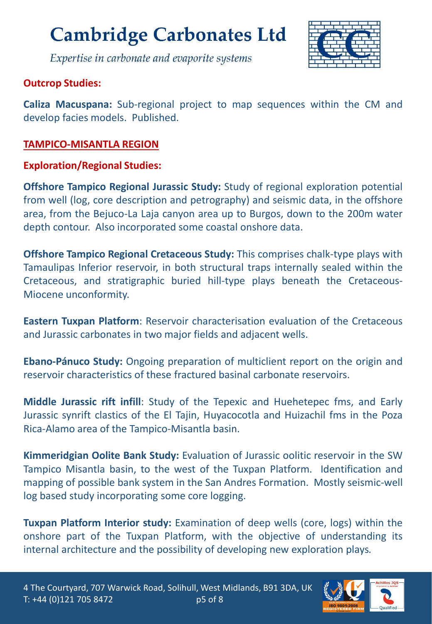

Expertise in carbonate and evaporite systems

#### **Outcrop Studies:**

**Caliza Macuspana:** Sub-regional project to map sequences within the CM and develop facies models. Published.

#### **TAMPICO-MISANTLA REGION**

#### **Exploration/Regional Studies:**

**Offshore Tampico Regional Jurassic Study:** Study of regional exploration potential from well (log, core description and petrography) and seismic data, in the offshore area, from the Bejuco-La Laja canyon area up to Burgos, down to the 200m water depth contour. Also incorporated some coastal onshore data.

**Offshore Tampico Regional Cretaceous Study:** This comprises chalk-type plays with Tamaulipas Inferior reservoir, in both structural traps internally sealed within the Cretaceous, and stratigraphic buried hill-type plays beneath the Cretaceous-Miocene unconformity.

**Eastern Tuxpan Platform**: Reservoir characterisation evaluation of the Cretaceous and Jurassic carbonates in two major fields and adjacent wells.

**Ebano-Pánuco Study:** Ongoing preparation of multiclient report on the origin and reservoir characteristics of these fractured basinal carbonate reservoirs.

**Middle Jurassic rift infill**: Study of the Tepexic and Huehetepec fms, and Early Jurassic synrift clastics of the El Tajin, Huyacocotla and Huizachil fms in the Poza Rica-Alamo area of the Tampico-Misantla basin.

**Kimmeridgian Oolite Bank Study:** Evaluation of Jurassic oolitic reservoir in the SW Tampico Misantla basin, to the west of the Tuxpan Platform. Identification and mapping of possible bank system in the San Andres Formation. Mostly seismic-well log based study incorporating some core logging.

**Tuxpan Platform Interior study:** Examination of deep wells (core, logs) within the onshore part of the Tuxpan Platform, with the objective of understanding its internal architecture and the possibility of developing new exploration plays*.*

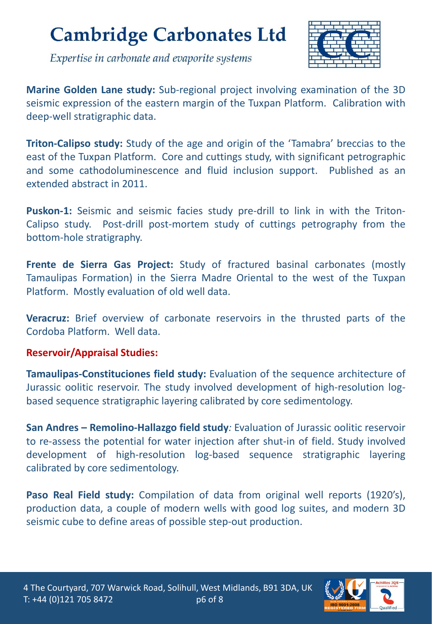

Expertise in carbonate and evaporite systems

**Marine Golden Lane study:** Sub-regional project involving examination of the 3D seismic expression of the eastern margin of the Tuxpan Platform. Calibration with deep-well stratigraphic data.

**Triton-Calipso study:** Study of the age and origin of the 'Tamabra' breccias to the east of the Tuxpan Platform. Core and cuttings study, with significant petrographic and some cathodoluminescence and fluid inclusion support. Published as an extended abstract in 2011.

**Puskon-1:** Seismic and seismic facies study pre-drill to link in with the Triton-Calipso study. Post-drill post-mortem study of cuttings petrography from the bottom-hole stratigraphy.

**Frente de Sierra Gas Project:** Study of fractured basinal carbonates (mostly Tamaulipas Formation) in the Sierra Madre Oriental to the west of the Tuxpan Platform. Mostly evaluation of old well data.

**Veracruz:** Brief overview of carbonate reservoirs in the thrusted parts of the Cordoba Platform. Well data.

#### **Reservoir/Appraisal Studies:**

**Tamaulipas-Constituciones field study:** Evaluation of the sequence architecture of Jurassic oolitic reservoir. The study involved development of high-resolution logbased sequence stratigraphic layering calibrated by core sedimentology.

**San Andres – Remolino-Hallazgo field study***:* Evaluation of Jurassic oolitic reservoir to re-assess the potential for water injection after shut-in of field. Study involved development of high-resolution log-based sequence stratigraphic layering calibrated by core sedimentology.

**Paso Real Field study:** Compilation of data from original well reports (1920's), production data, a couple of modern wells with good log suites, and modern 3D seismic cube to define areas of possible step-out production.

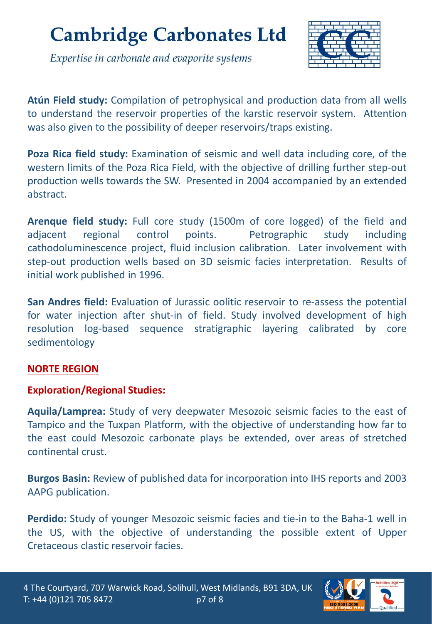Expertise in carbonate and evaporite systems



**Atún Field study:** Compilation of petrophysical and production data from all wells to understand the reservoir properties of the karstic reservoir system. Attention was also given to the possibility of deeper reservoirs/traps existing.

**Poza Rica field study:** Examination of seismic and well data including core, of the western limits of the Poza Rica Field, with the objective of drilling further step-out production wells towards the SW. Presented in 2004 accompanied by an extended abstract.

**Arenque field study:** Full core study (1500m of core logged) of the field and adjacent regional control points. Petrographic study including cathodoluminescence project, fluid inclusion calibration. Later involvement with step-out production wells based on 3D seismic facies interpretation. Results of initial work published in 1996.

**San Andres field:** Evaluation of Jurassic oolitic reservoir to re-assess the potential for water injection after shut-in of field. Study involved development of high resolution log-based sequence stratigraphic layering calibrated by core sedimentology

#### **NORTE REGION**

#### **Exploration/Regional Studies:**

**Aquila/Lamprea:** Study of very deepwater Mesozoic seismic facies to the east of Tampico and the Tuxpan Platform, with the objective of understanding how far to the east could Mesozoic carbonate plays be extended, over areas of stretched continental crust.

**Burgos Basin:** Review of published data for incorporation into IHS reports and 2003 AAPG publication.

**Perdido:** Study of younger Mesozoic seismic facies and tie-in to the Baha-1 well in the US, with the objective of understanding the possible extent of Upper Cretaceous clastic reservoir facies.